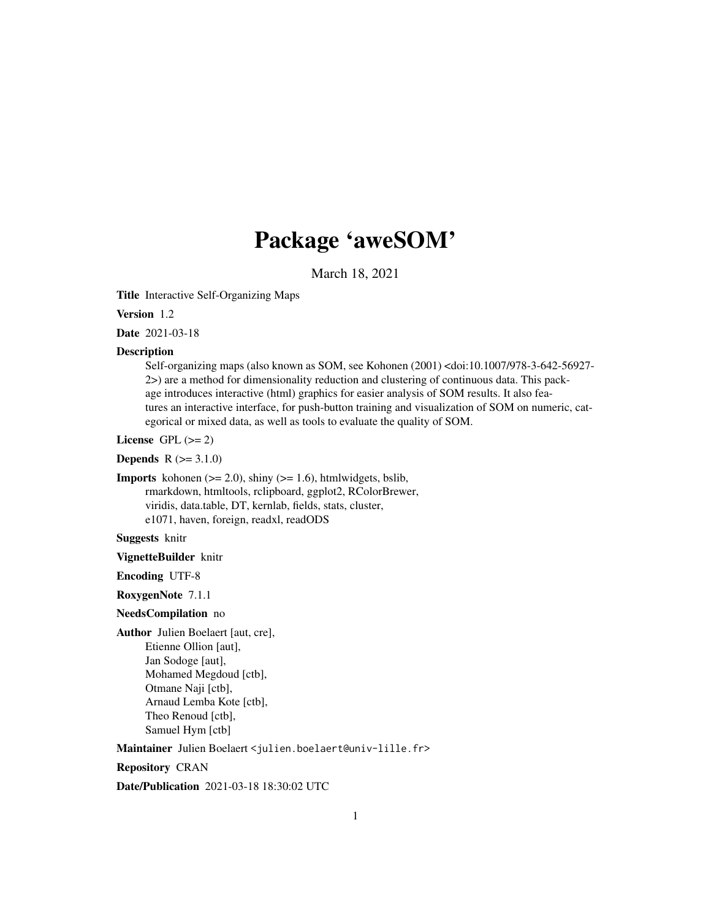## Package 'aweSOM'

March 18, 2021

Title Interactive Self-Organizing Maps

Version 1.2

Date 2021-03-18

#### Description

Self-organizing maps (also known as SOM, see Kohonen (2001) <doi:10.1007/978-3-642-56927- 2>) are a method for dimensionality reduction and clustering of continuous data. This package introduces interactive (html) graphics for easier analysis of SOM results. It also features an interactive interface, for push-button training and visualization of SOM on numeric, categorical or mixed data, as well as tools to evaluate the quality of SOM.

License GPL  $(>= 2)$ 

**Depends**  $R (= 3.1.0)$ 

**Imports** kohonen  $(>= 2.0)$ , shiny  $(>= 1.6)$ , htmlwidgets, bslib, rmarkdown, htmltools, rclipboard, ggplot2, RColorBrewer, viridis, data.table, DT, kernlab, fields, stats, cluster, e1071, haven, foreign, readxl, readODS

Suggests knitr

VignetteBuilder knitr

Encoding UTF-8

RoxygenNote 7.1.1

#### NeedsCompilation no

Author Julien Boelaert [aut, cre], Etienne Ollion [aut], Jan Sodoge [aut], Mohamed Megdoud [ctb], Otmane Naji [ctb], Arnaud Lemba Kote [ctb], Theo Renoud [ctb], Samuel Hym [ctb]

Maintainer Julien Boelaert <julien.boelaert@univ-lille.fr>

Repository CRAN

Date/Publication 2021-03-18 18:30:02 UTC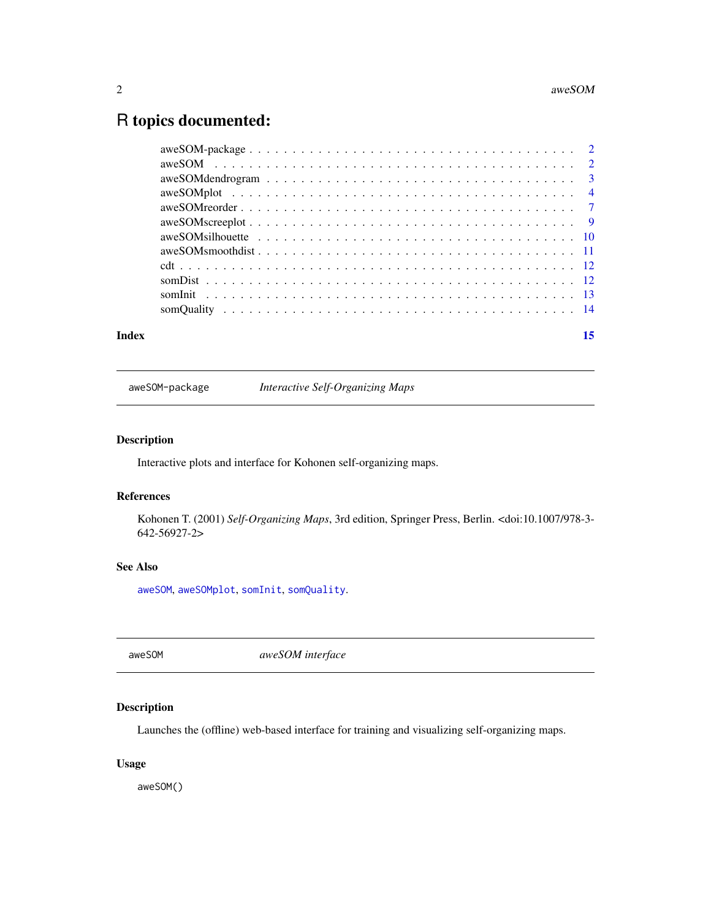### <span id="page-1-0"></span>R topics documented:

| Index | 15 |
|-------|----|
|       |    |
|       |    |
|       |    |
|       |    |
|       |    |
|       |    |
|       |    |
|       |    |
|       |    |
|       |    |
|       |    |
|       |    |

aweSOM-package *Interactive Self-Organizing Maps*

#### Description

Interactive plots and interface for Kohonen self-organizing maps.

#### References

Kohonen T. (2001) *Self-Organizing Maps*, 3rd edition, Springer Press, Berlin. <doi:10.1007/978-3- 642-56927-2>

#### See Also

[aweSOM](#page-1-1), [aweSOMplot](#page-3-1), [somInit](#page-12-1), [somQuality](#page-13-1).

<span id="page-1-1"></span>aweSOM *aweSOM interface*

#### Description

Launches the (offline) web-based interface for training and visualizing self-organizing maps.

#### Usage

aweSOM()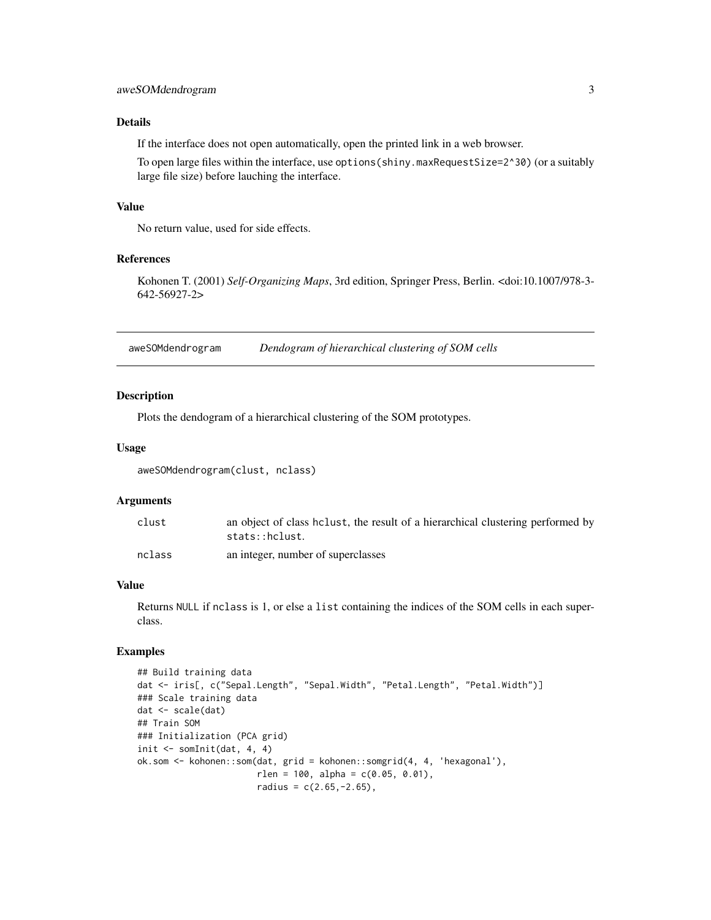#### <span id="page-2-0"></span>Details

If the interface does not open automatically, open the printed link in a web browser.

To open large files within the interface, use options(shiny.maxRequestSize=2^30) (or a suitably large file size) before lauching the interface.

#### Value

No return value, used for side effects.

#### References

Kohonen T. (2001) *Self-Organizing Maps*, 3rd edition, Springer Press, Berlin. <doi:10.1007/978-3- 642-56927-2>

aweSOMdendrogram *Dendogram of hierarchical clustering of SOM cells*

#### Description

Plots the dendogram of a hierarchical clustering of the SOM prototypes.

#### Usage

aweSOMdendrogram(clust, nclass)

#### **Arguments**

| clust  | an object of class helust, the result of a hierarchical clustering performed by<br>stats::hclust. |
|--------|---------------------------------------------------------------------------------------------------|
| nclass | an integer, number of superclasses                                                                |

#### Value

Returns NULL if nclass is 1, or else a list containing the indices of the SOM cells in each superclass.

```
## Build training data
dat <- iris[, c("Sepal.Length", "Sepal.Width", "Petal.Length", "Petal.Width")]
### Scale training data
dat <- scale(dat)
## Train SOM
### Initialization (PCA grid)
init <- somInit(dat, 4, 4)
ok.som <- kohonen::som(dat, grid = kohonen::somgrid(4, 4, 'hexagonal'),
                       rlen = 100, alpha = c(0.05, 0.01),
                       radius = c(2.65, -2.65),
```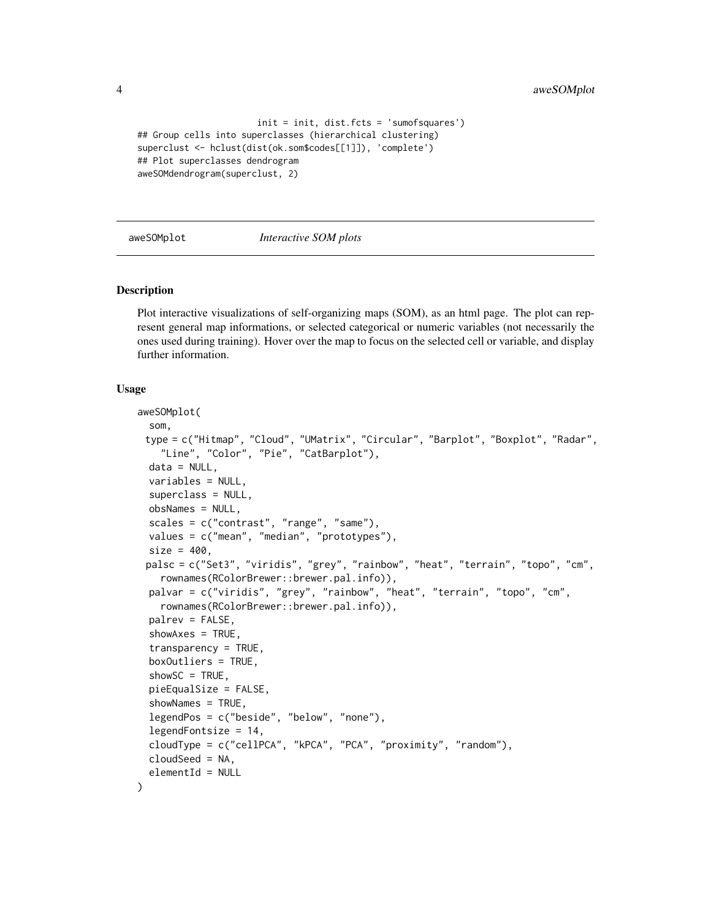```
init = init, dist.fcts = 'sumofsquares')
## Group cells into superclasses (hierarchical clustering)
superclust <- hclust(dist(ok.som$codes[[1]]), 'complete')
## Plot superclasses dendrogram
aweSOMdendrogram(superclust, 2)
```
<span id="page-3-1"></span>aweSOMplot *Interactive SOM plots*

#### Description

Plot interactive visualizations of self-organizing maps (SOM), as an html page. The plot can represent general map informations, or selected categorical or numeric variables (not necessarily the ones used during training). Hover over the map to focus on the selected cell or variable, and display further information.

#### Usage

```
aweSOMplot(
  som,
 type = c("Hitmap", "Cloud", "UMatrix", "Circular", "Barplot", "Boxplot", "Radar",
    "Line", "Color", "Pie", "CatBarplot"),
  data = NULL,
  variables = NULL,
  superclass = NULL,
  obsNames = NULL,
  scales = c("contrast", "range", "same"),
  values = c("mean", "median", "prototypes"),
  size = 400,palsc = c("Set3", "viridis", "grey", "rainbow", "heat", "terrain", "topo", "cm",
    rownames(RColorBrewer::brewer.pal.info)),
 palvar = c("viridis", "grey", "rainbow", "heat", "terrain", "topo", "cm",
    rownames(RColorBrewer::brewer.pal.info)),
  palrev = FALSE,
  shows = TRUE,transparency = TRUE,
  boxOutliers = TRUE,
  showSC = TRUE,
  pieEqualSize = FALSE,
  showNames = TRUE,
  legendPos = c("beside", "below", "none"),
  legendFontsize = 14,
  cloudType = c("cellPCA", "kPCA", "PCA", "proximity", "random"),
  cloudSeed = NA,
  elementId = NULL)
```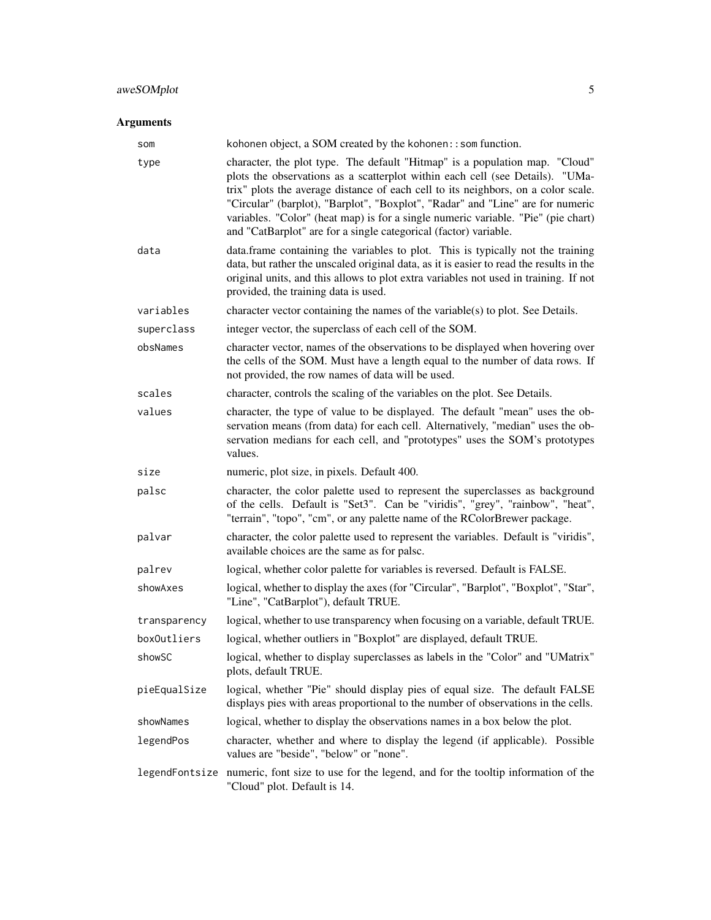#### aweSOMplot 5

#### Arguments

| som          | kohonen object, a SOM created by the kohonen: : som function.                                                                                                                                                                                                                                                                                                                                                                                                                                |
|--------------|----------------------------------------------------------------------------------------------------------------------------------------------------------------------------------------------------------------------------------------------------------------------------------------------------------------------------------------------------------------------------------------------------------------------------------------------------------------------------------------------|
| type         | character, the plot type. The default "Hitmap" is a population map. "Cloud"<br>plots the observations as a scatterplot within each cell (see Details). "UMa-<br>trix" plots the average distance of each cell to its neighbors, on a color scale.<br>"Circular" (barplot), "Barplot", "Boxplot", "Radar" and "Line" are for numeric<br>variables. "Color" (heat map) is for a single numeric variable. "Pie" (pie chart)<br>and "CatBarplot" are for a single categorical (factor) variable. |
| data         | data.frame containing the variables to plot. This is typically not the training<br>data, but rather the unscaled original data, as it is easier to read the results in the<br>original units, and this allows to plot extra variables not used in training. If not<br>provided, the training data is used.                                                                                                                                                                                   |
| variables    | character vector containing the names of the variable(s) to plot. See Details.                                                                                                                                                                                                                                                                                                                                                                                                               |
| superclass   | integer vector, the superclass of each cell of the SOM.                                                                                                                                                                                                                                                                                                                                                                                                                                      |
| obsNames     | character vector, names of the observations to be displayed when hovering over<br>the cells of the SOM. Must have a length equal to the number of data rows. If<br>not provided, the row names of data will be used.                                                                                                                                                                                                                                                                         |
| scales       | character, controls the scaling of the variables on the plot. See Details.                                                                                                                                                                                                                                                                                                                                                                                                                   |
| values       | character, the type of value to be displayed. The default "mean" uses the ob-<br>servation means (from data) for each cell. Alternatively, "median" uses the ob-<br>servation medians for each cell, and "prototypes" uses the SOM's prototypes<br>values.                                                                                                                                                                                                                                   |
| size         | numeric, plot size, in pixels. Default 400.                                                                                                                                                                                                                                                                                                                                                                                                                                                  |
| palsc        | character, the color palette used to represent the superclasses as background<br>of the cells. Default is "Set3". Can be "viridis", "grey", "rainbow", "heat",<br>"terrain", "topo", "cm", or any palette name of the RColorBrewer package.                                                                                                                                                                                                                                                  |
| palvar       | character, the color palette used to represent the variables. Default is "viridis",<br>available choices are the same as for palsc.                                                                                                                                                                                                                                                                                                                                                          |
| palrev       | logical, whether color palette for variables is reversed. Default is FALSE.                                                                                                                                                                                                                                                                                                                                                                                                                  |
| showAxes     | logical, whether to display the axes (for "Circular", "Barplot", "Boxplot", "Star",<br>"Line", "CatBarplot"), default TRUE.                                                                                                                                                                                                                                                                                                                                                                  |
| transparency | logical, whether to use transparency when focusing on a variable, default TRUE.                                                                                                                                                                                                                                                                                                                                                                                                              |
| boxOutliers  | logical, whether outliers in "Boxplot" are displayed, default TRUE.                                                                                                                                                                                                                                                                                                                                                                                                                          |
| showSC       | logical, whether to display superclasses as labels in the "Color" and "UMatrix"<br>plots, default TRUE.                                                                                                                                                                                                                                                                                                                                                                                      |
| pieEqualSize | logical, whether "Pie" should display pies of equal size. The default FALSE<br>displays pies with areas proportional to the number of observations in the cells.                                                                                                                                                                                                                                                                                                                             |
| showNames    | logical, whether to display the observations names in a box below the plot.                                                                                                                                                                                                                                                                                                                                                                                                                  |
| legendPos    | character, whether and where to display the legend (if applicable). Possible<br>values are "beside", "below" or "none".                                                                                                                                                                                                                                                                                                                                                                      |
|              | legendFontsize numeric, font size to use for the legend, and for the tooltip information of the<br>"Cloud" plot. Default is 14.                                                                                                                                                                                                                                                                                                                                                              |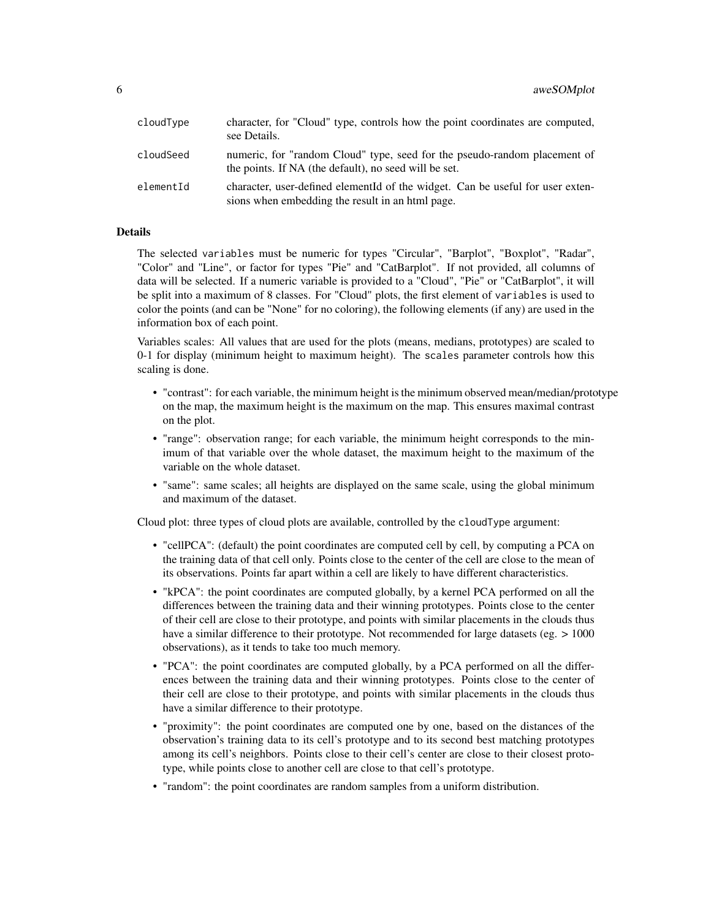| cloudType | character, for "Cloud" type, controls how the point coordinates are computed,<br>see Details.                                      |
|-----------|------------------------------------------------------------------------------------------------------------------------------------|
| cloudSeed | numeric, for "random Cloud" type, seed for the pseudo-random placement of<br>the points. If NA (the default), no seed will be set. |
| elementId | character, user-defined element of the widget. Can be useful for user exten-<br>sions when embedding the result in an html page.   |

#### Details

The selected variables must be numeric for types "Circular", "Barplot", "Boxplot", "Radar", "Color" and "Line", or factor for types "Pie" and "CatBarplot". If not provided, all columns of data will be selected. If a numeric variable is provided to a "Cloud", "Pie" or "CatBarplot", it will be split into a maximum of 8 classes. For "Cloud" plots, the first element of variables is used to color the points (and can be "None" for no coloring), the following elements (if any) are used in the information box of each point.

Variables scales: All values that are used for the plots (means, medians, prototypes) are scaled to 0-1 for display (minimum height to maximum height). The scales parameter controls how this scaling is done.

- "contrast": for each variable, the minimum height is the minimum observed mean/median/prototype on the map, the maximum height is the maximum on the map. This ensures maximal contrast on the plot.
- "range": observation range; for each variable, the minimum height corresponds to the minimum of that variable over the whole dataset, the maximum height to the maximum of the variable on the whole dataset.
- "same": same scales; all heights are displayed on the same scale, using the global minimum and maximum of the dataset.

Cloud plot: three types of cloud plots are available, controlled by the cloudType argument:

- "cellPCA": (default) the point coordinates are computed cell by cell, by computing a PCA on the training data of that cell only. Points close to the center of the cell are close to the mean of its observations. Points far apart within a cell are likely to have different characteristics.
- "kPCA": the point coordinates are computed globally, by a kernel PCA performed on all the differences between the training data and their winning prototypes. Points close to the center of their cell are close to their prototype, and points with similar placements in the clouds thus have a similar difference to their prototype. Not recommended for large datasets (eg. > 1000) observations), as it tends to take too much memory.
- "PCA": the point coordinates are computed globally, by a PCA performed on all the differences between the training data and their winning prototypes. Points close to the center of their cell are close to their prototype, and points with similar placements in the clouds thus have a similar difference to their prototype.
- "proximity": the point coordinates are computed one by one, based on the distances of the observation's training data to its cell's prototype and to its second best matching prototypes among its cell's neighbors. Points close to their cell's center are close to their closest prototype, while points close to another cell are close to that cell's prototype.
- "random": the point coordinates are random samples from a uniform distribution.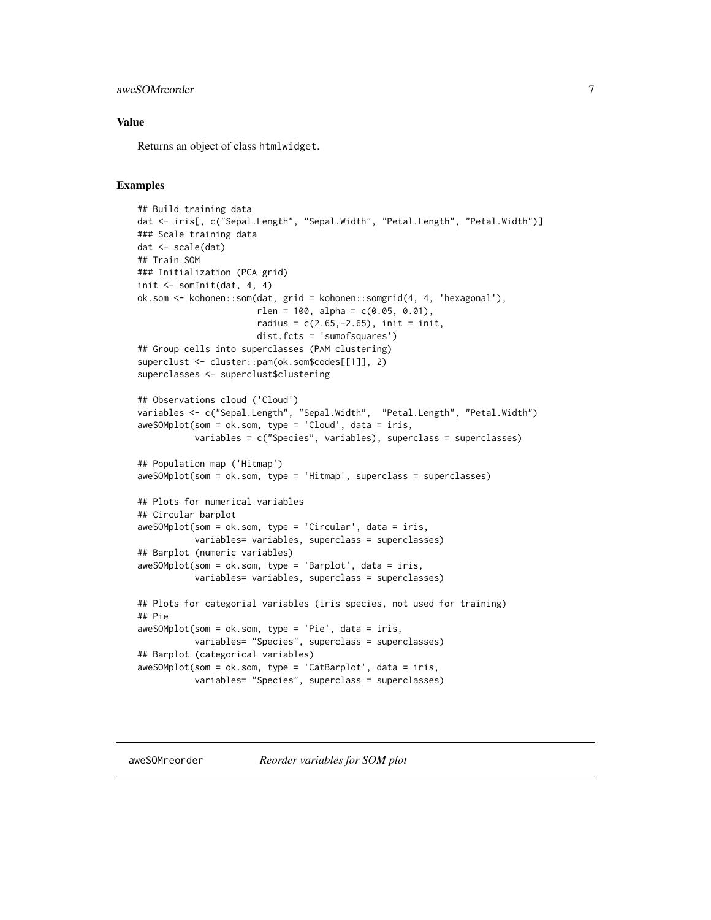#### <span id="page-6-0"></span>aweSOMreorder 7

#### Value

Returns an object of class htmlwidget.

#### Examples

```
## Build training data
dat <- iris[, c("Sepal.Length", "Sepal.Width", "Petal.Length", "Petal.Width")]
### Scale training data
dat <- scale(dat)
## Train SOM
### Initialization (PCA grid)
init \leq somInit(dat, 4, 4)
ok.som <- kohonen::som(dat, grid = kohonen::somgrid(4, 4, 'hexagonal'),
                       rlen = 100, alpha = c(0.05, 0.01),
                       radius = c(2.65, -2.65), init = init,
                       dist.fcts = 'sumofsquares')
## Group cells into superclasses (PAM clustering)
superclust <- cluster::pam(ok.som$codes[[1]], 2)
superclasses <- superclust$clustering
## Observations cloud ('Cloud')
variables <- c("Sepal.Length", "Sepal.Width", "Petal.Length", "Petal.Width")
aweSOMplot(som = ok.som, type = 'Cloud', data = iris,
           variables = c("Species", variables), superclass = superclasses)
## Population map ('Hitmap')
aweSOMplot(som = ok.som, type = 'Hitmap', superclass = superclasses)
## Plots for numerical variables
## Circular barplot
aweSOMplot(som = ok.som, type = 'Circular', data = iris,
           variables= variables, superclass = superclasses)
## Barplot (numeric variables)
aweSOMplot(som = ok.som, type = 'Barplot', data = iris,
           variables= variables, superclass = superclasses)
## Plots for categorial variables (iris species, not used for training)
## Pie
aweSOMplot(som = ok.som, type = 'Pie', data = iris,
           variables= "Species", superclass = superclasses)
## Barplot (categorical variables)
aweSOMplot(som = ok.som, type = 'CatBarplot', data = iris,
           variables= "Species", superclass = superclasses)
```
aweSOMreorder *Reorder variables for SOM plot*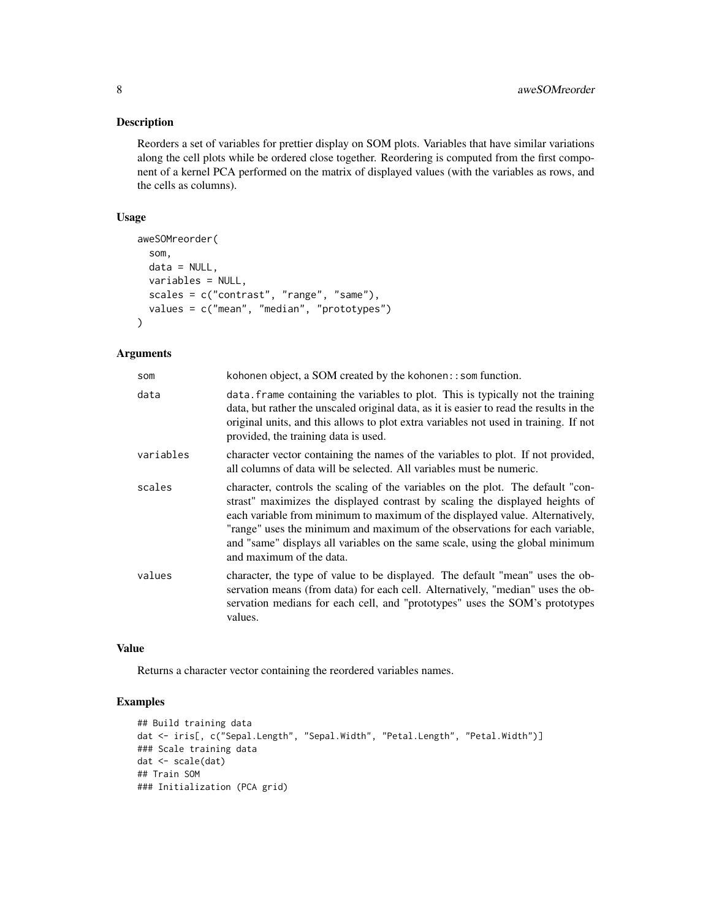#### Description

Reorders a set of variables for prettier display on SOM plots. Variables that have similar variations along the cell plots while be ordered close together. Reordering is computed from the first component of a kernel PCA performed on the matrix of displayed values (with the variables as rows, and the cells as columns).

#### Usage

```
aweSOMreorder(
  som,
  data = NULL,
 variables = NULL,
  scales = c("contrast", "range", "same"),
  values = c("mean", "median", "prototypes")
\lambda
```
#### Arguments

| kohonen object, a SOM created by the kohonen: : som function.                                                                                                                                                                                                                                                                                                                                                                               |
|---------------------------------------------------------------------------------------------------------------------------------------------------------------------------------------------------------------------------------------------------------------------------------------------------------------------------------------------------------------------------------------------------------------------------------------------|
| data. frame containing the variables to plot. This is typically not the training<br>data, but rather the unscaled original data, as it is easier to read the results in the<br>original units, and this allows to plot extra variables not used in training. If not<br>provided, the training data is used.                                                                                                                                 |
| character vector containing the names of the variables to plot. If not provided,<br>all columns of data will be selected. All variables must be numeric.                                                                                                                                                                                                                                                                                    |
| character, controls the scaling of the variables on the plot. The default "con-<br>strast" maximizes the displayed contrast by scaling the displayed heights of<br>each variable from minimum to maximum of the displayed value. Alternatively,<br>"range" uses the minimum and maximum of the observations for each variable,<br>and "same" displays all variables on the same scale, using the global minimum<br>and maximum of the data. |
| character, the type of value to be displayed. The default "mean" uses the ob-<br>servation means (from data) for each cell. Alternatively, "median" uses the ob-<br>servation medians for each cell, and "prototypes" uses the SOM's prototypes<br>values.                                                                                                                                                                                  |
|                                                                                                                                                                                                                                                                                                                                                                                                                                             |

#### Value

Returns a character vector containing the reordered variables names.

```
## Build training data
dat <- iris[, c("Sepal.Length", "Sepal.Width", "Petal.Length", "Petal.Width")]
### Scale training data
dat <- scale(dat)
## Train SOM
### Initialization (PCA grid)
```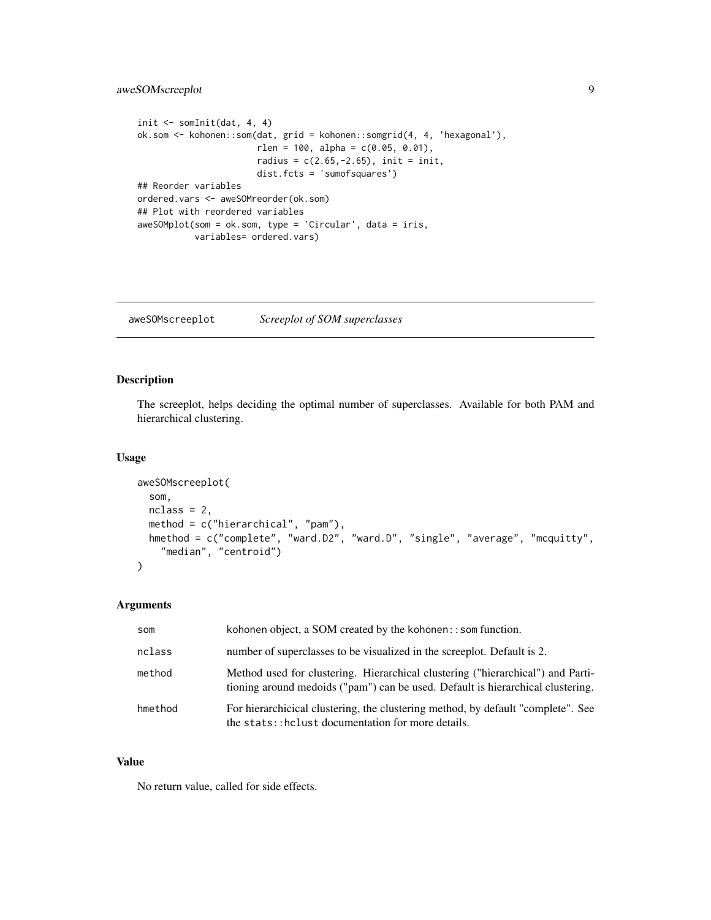#### <span id="page-8-0"></span>aweSOMscreeplot 9

```
init \leq somInit(dat, 4, 4)
ok.som <- kohonen::som(dat, grid = kohonen::somgrid(4, 4, 'hexagonal'),
                       rlen = 100, alpha = c(0.05, 0.01),
                       radius = c(2.65, -2.65), init = init,
                       dist.fcts = 'sumofsquares')
## Reorder variables
ordered.vars <- aweSOMreorder(ok.som)
## Plot with reordered variables
aweSOMplot(som = ok.som, type = 'Circular', data = iris,
           variables= ordered.vars)
```
aweSOMscreeplot *Screeplot of SOM superclasses*

#### Description

The screeplot, helps deciding the optimal number of superclasses. Available for both PAM and hierarchical clustering.

#### Usage

```
aweSOMscreeplot(
  som,
  nclass = 2,
  method = c("hierarchical", "pam"),
 hmethod = c("complete", "ward.D2", "ward.D", "single", "average", "mcquitty",
    "median", "centroid")
)
```
#### Arguments

| som     | kohonen object, a SOM created by the kohonen: $:$ som function.                                                                                                    |
|---------|--------------------------------------------------------------------------------------------------------------------------------------------------------------------|
| nclass  | number of superclasses to be visualized in the screeplot. Default is 2.                                                                                            |
| method  | Method used for clustering. Hierarchical clustering ("hierarchical") and Parti-<br>tioning around medoids ("pam") can be used. Default is hierarchical clustering. |
| hmethod | For hierarchicical clustering, the clustering method, by default "complete". See<br>the stats::hclust documentation for more details.                              |

#### Value

No return value, called for side effects.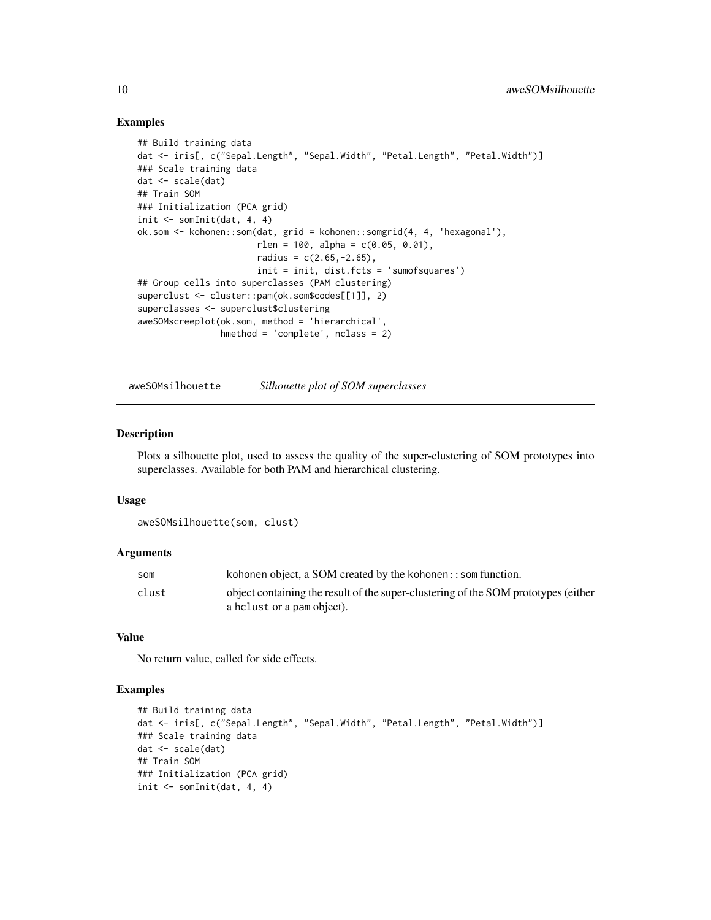#### Examples

```
## Build training data
dat <- iris[, c("Sepal.Length", "Sepal.Width", "Petal.Length", "Petal.Width")]
### Scale training data
dat <- scale(dat)
## Train SOM
### Initialization (PCA grid)
init \leq somInit(dat, 4, 4)
ok.som <- kohonen::som(dat, grid = kohonen::somgrid(4, 4, 'hexagonal'),
                       rlen = 100, alpha = c(0.05, 0.01),
                       radius = c(2.65, -2.65),
                       init = init, dist.fcts = 'sumofsquares')
## Group cells into superclasses (PAM clustering)
superclust <- cluster::pam(ok.som$codes[[1]], 2)
superclasses <- superclust$clustering
aweSOMscreeplot(ok.som, method = 'hierarchical',
                hmethod = 'complete', nclass = 2)
```
aweSOMsilhouette *Silhouette plot of SOM superclasses*

#### **Description**

Plots a silhouette plot, used to assess the quality of the super-clustering of SOM prototypes into superclasses. Available for both PAM and hierarchical clustering.

#### Usage

```
aweSOMsilhouette(som, clust)
```
#### Arguments

| som   | kohonen object, a SOM created by the kohonen: $:$ som function.                    |
|-------|------------------------------------------------------------------------------------|
| clust | object containing the result of the super-clustering of the SOM prototypes (either |
|       | a helust or a pam object).                                                         |

#### Value

No return value, called for side effects.

```
## Build training data
dat <- iris[, c("Sepal.Length", "Sepal.Width", "Petal.Length", "Petal.Width")]
### Scale training data
dat <- scale(dat)
## Train SOM
### Initialization (PCA grid)
init \leq somInit(dat, 4, 4)
```
<span id="page-9-0"></span>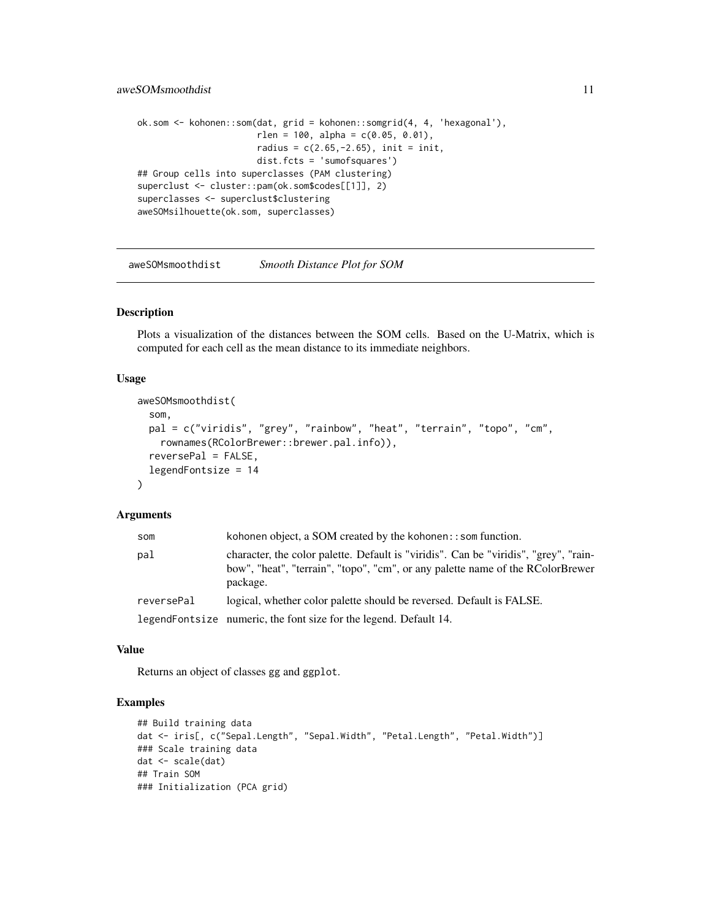```
ok.som <- kohonen::som(dat, grid = kohonen::somgrid(4, 4, 'hexagonal'),
                       rlen = 100, alpha = c(0.05, 0.01),
                       radius = c(2.65, -2.65), init = init,
                       dist.fcts = 'sumofsquares')
## Group cells into superclasses (PAM clustering)
superclust <- cluster::pam(ok.som$codes[[1]], 2)
superclasses <- superclust$clustering
aweSOMsilhouette(ok.som, superclasses)
```
aweSOMsmoothdist *Smooth Distance Plot for SOM*

#### Description

Plots a visualization of the distances between the SOM cells. Based on the U-Matrix, which is computed for each cell as the mean distance to its immediate neighbors.

#### Usage

```
aweSOMsmoothdist(
  som,
  pal = c("viridis", "grey", "rainbow", "heat", "terrain", "topo", "cm",
    rownames(RColorBrewer::brewer.pal.info)),
  reversed = FALSE,legendFontsize = 14
\lambda
```
#### Arguments

| som        | kohonen object, a SOM created by the kohonen: : som function.                                                                                                                      |
|------------|------------------------------------------------------------------------------------------------------------------------------------------------------------------------------------|
| pal        | character, the color palette. Default is "viridis". Can be "viridis", "grey", "rain-<br>bow", "heat", "terrain", "topo", "cm", or any palette name of the RColorBrewer<br>package. |
| reversePal | logical, whether color palette should be reversed. Default is FALSE.                                                                                                               |
|            | legendFontsize numeric, the font size for the legend. Default 14.                                                                                                                  |

#### Value

Returns an object of classes gg and ggplot.

```
## Build training data
dat <- iris[, c("Sepal.Length", "Sepal.Width", "Petal.Length", "Petal.Width")]
### Scale training data
dat <- scale(dat)
## Train SOM
### Initialization (PCA grid)
```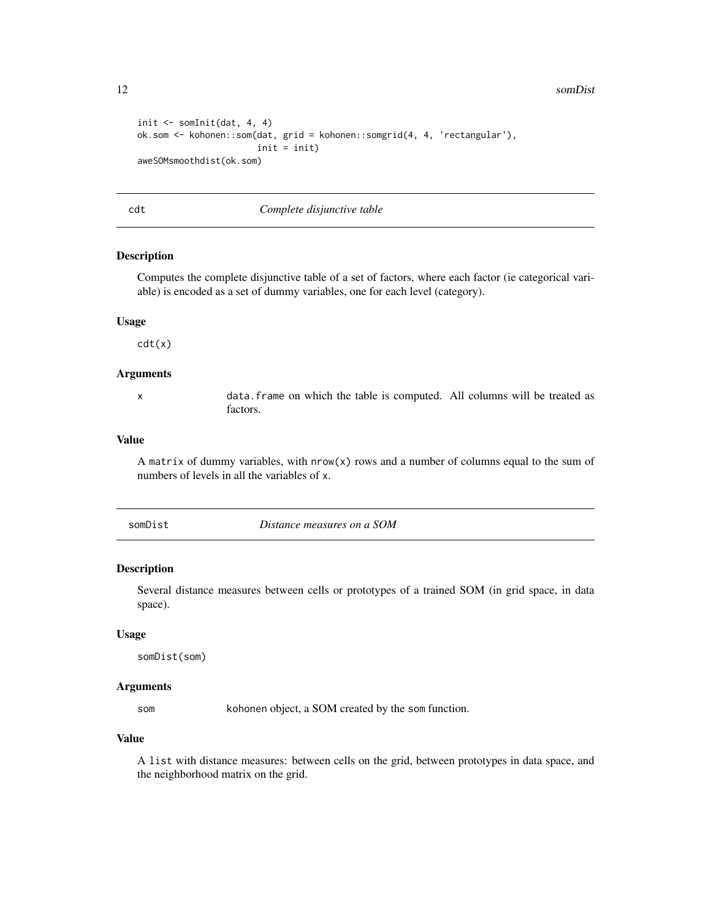<span id="page-11-0"></span>12 somDist

```
init <- somInit(dat, 4, 4)
ok.som <- kohonen::som(dat, grid = kohonen::somgrid(4, 4, 'rectangular'),
                       init = init)
aweSOMsmoothdist(ok.som)
```
cdt *Complete disjunctive table*

#### Description

Computes the complete disjunctive table of a set of factors, where each factor (ie categorical variable) is encoded as a set of dummy variables, one for each level (category).

#### Usage

cdt(x)

#### Arguments

x data.frame on which the table is computed. All columns will be treated as factors.

#### Value

A matrix of dummy variables, with  $nrow(x)$  rows and a number of columns equal to the sum of numbers of levels in all the variables of x.

| somDist |
|---------|
|---------|

#### Description

Several distance measures between cells or prototypes of a trained SOM (in grid space, in data space).

#### Usage

somDist(som)

#### Arguments

som kohonen object, a SOM created by the som function.

#### Value

A list with distance measures: between cells on the grid, between prototypes in data space, and the neighborhood matrix on the grid.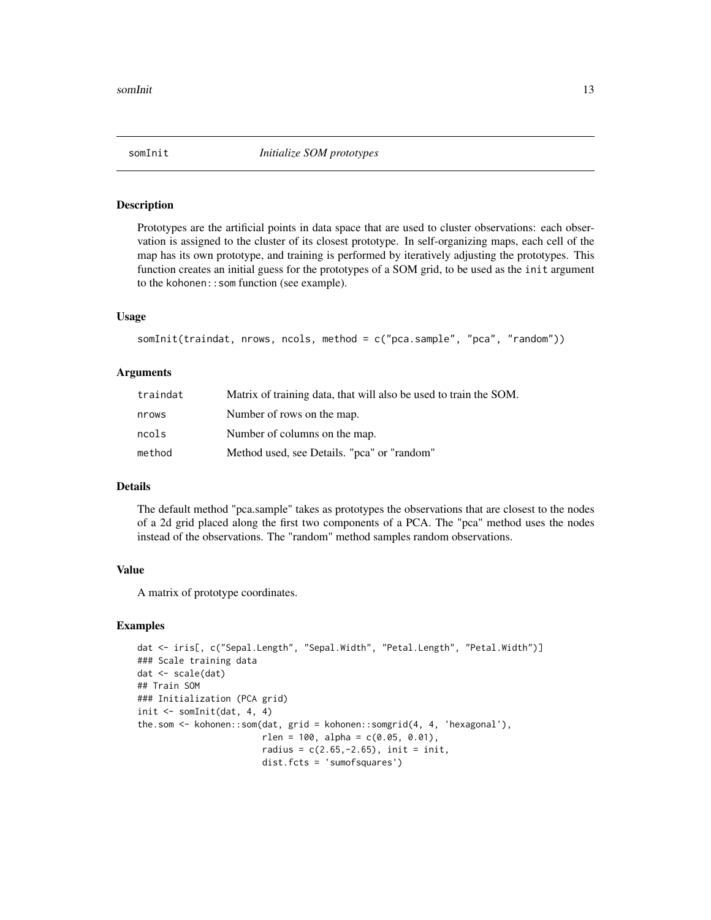#### <span id="page-12-1"></span><span id="page-12-0"></span>Description

Prototypes are the artificial points in data space that are used to cluster observations: each observation is assigned to the cluster of its closest prototype. In self-organizing maps, each cell of the map has its own prototype, and training is performed by iteratively adjusting the prototypes. This function creates an initial guess for the prototypes of a SOM grid, to be used as the init argument to the kohonen::som function (see example).

#### Usage

```
somInit(traindat, nrows, ncols, method = c("pca.sample", "pca", "random"))
```
#### Arguments

| traindat | Matrix of training data, that will also be used to train the SOM. |
|----------|-------------------------------------------------------------------|
| nrows    | Number of rows on the map.                                        |
| ncols    | Number of columns on the map.                                     |
| method   | Method used, see Details. "pca" or "random"                       |

#### Details

The default method "pca.sample" takes as prototypes the observations that are closest to the nodes of a 2d grid placed along the first two components of a PCA. The "pca" method uses the nodes instead of the observations. The "random" method samples random observations.

#### Value

A matrix of prototype coordinates.

```
dat <- iris[, c("Sepal.Length", "Sepal.Width", "Petal.Length", "Petal.Width")]
### Scale training data
dat <- scale(dat)
## Train SOM
### Initialization (PCA grid)
init \leq somInit(dat, 4, 4)
the.som <- kohonen::som(dat, grid = kohonen::somgrid(4, 4, 'hexagonal'),
                        rlen = 100, alpha = c(0.05, 0.01),
                        radius = c(2.65, -2.65), init = init,
                        dist.fcts = 'sumofsquares')
```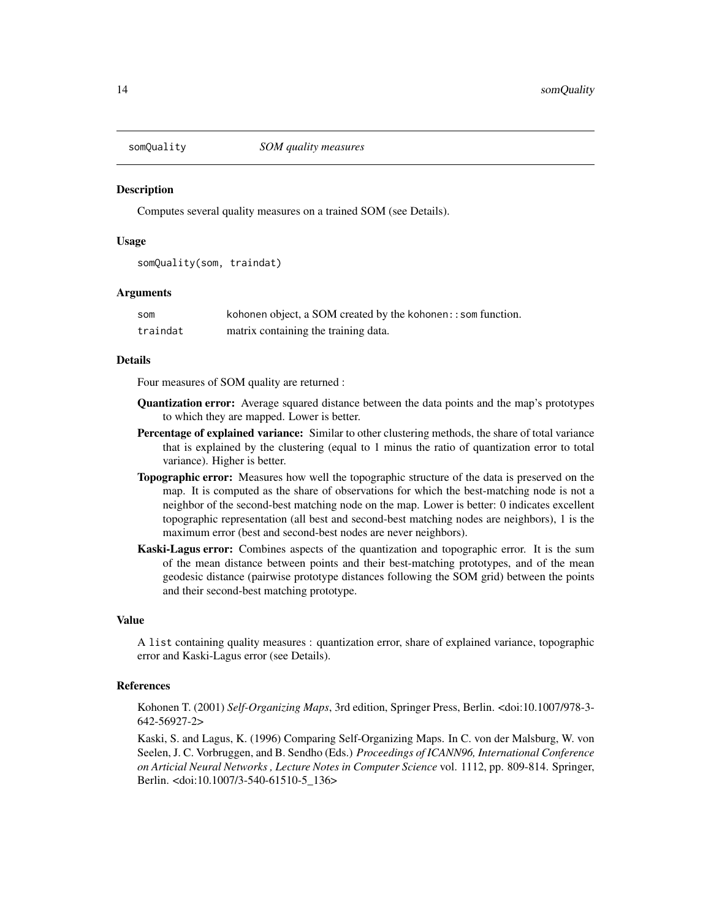<span id="page-13-1"></span><span id="page-13-0"></span>

#### **Description**

Computes several quality measures on a trained SOM (see Details).

#### Usage

```
somQuality(som, traindat)
```
#### **Arguments**

| som      | kohonen object, a SOM created by the kohonen: $:$ som function. |
|----------|-----------------------------------------------------------------|
| traindat | matrix containing the training data.                            |

#### Details

Four measures of SOM quality are returned :

- Quantization error: Average squared distance between the data points and the map's prototypes to which they are mapped. Lower is better.
- Percentage of explained variance: Similar to other clustering methods, the share of total variance that is explained by the clustering (equal to 1 minus the ratio of quantization error to total variance). Higher is better.
- Topographic error: Measures how well the topographic structure of the data is preserved on the map. It is computed as the share of observations for which the best-matching node is not a neighbor of the second-best matching node on the map. Lower is better: 0 indicates excellent topographic representation (all best and second-best matching nodes are neighbors), 1 is the maximum error (best and second-best nodes are never neighbors).
- Kaski-Lagus error: Combines aspects of the quantization and topographic error. It is the sum of the mean distance between points and their best-matching prototypes, and of the mean geodesic distance (pairwise prototype distances following the SOM grid) between the points and their second-best matching prototype.

#### Value

A list containing quality measures : quantization error, share of explained variance, topographic error and Kaski-Lagus error (see Details).

#### References

Kohonen T. (2001) *Self-Organizing Maps*, 3rd edition, Springer Press, Berlin. <doi:10.1007/978-3- 642-56927-2>

Kaski, S. and Lagus, K. (1996) Comparing Self-Organizing Maps. In C. von der Malsburg, W. von Seelen, J. C. Vorbruggen, and B. Sendho (Eds.) *Proceedings of ICANN96, International Conference on Articial Neural Networks , Lecture Notes in Computer Science* vol. 1112, pp. 809-814. Springer, Berlin. <doi:10.1007/3-540-61510-5\_136>